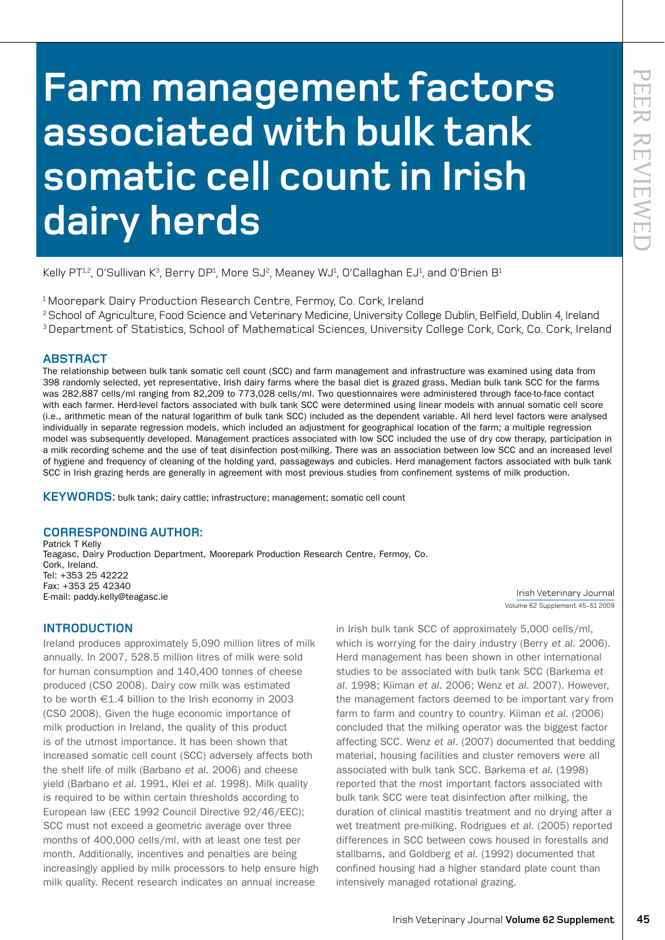# **Farm management factors associated with bulk tank somatic cell count in Irish dairy herds**

Kelly PT $^{1,2}$ , O'Sullivan K $^3$ , Berry DP $^1$ , More SJ $^2$ , Meaney WJ $^1$ , O'Callaghan EJ $^1$ , and O'Brien B $^1$ 

1 Moorepark Dairy Production Research Centre, Fermoy, Co. Cork, Ireland

<sup>2</sup> School of Agriculture, Food Science and Veterinary Medicine, University College Dublin, Belfield, Dublin 4, Ireland

3 Department of Statistics, School of Mathematical Sciences, University College Cork, Cork, Co. Cork, Ireland

## **Abstract**

The relationship between bulk tank somatic cell count (SCC) and farm management and infrastructure was examined using data from 398 randomly selected, yet representative, Irish dairy farms where the basal diet is grazed grass. Median bulk tank SCC for the farms was 282,887 cells/ml ranging from 82,209 to 773,028 cells/ml. Two questionnaires were administered through face-to-face contact with each farmer. Herd-level factors associated with bulk tank SCC were determined using linear models with annual somatic cell score (i.e., arithmetic mean of the natural logarithm of bulk tank SCC) included as the dependent variable. All herd level factors were analysed individually in separate regression models, which included an adjustment for geographical location of the farm; a multiple regression model was subsequently developed. Management practices associated with low SCC included the use of dry cow therapy, participation in a milk recording scheme and the use of teat disinfection post-milking. There was an association between low SCC and an increased level of hygiene and frequency of cleaning of the holding yard, passageways and cubicles. Herd management factors associated with bulk tank SCC in Irish grazing herds are generally in agreement with most previous studies from confinement systems of milk production.

KEYWORDS: bulk tank; dairy cattle; infrastructure; management; somatic cell count

# **Corresponding author:**

Patrick T Kelly Teagasc, Dairy Production Department, Moorepark Production Research Centre, Fermoy, Co. Cork, Ireland. Tel: +353 25 42222 Fax: +353 25 42340 E-mail: paddy.kelly@teagasc.ie

# **Introduction**

Ireland produces approximately 5,090 million litres of milk annually. In 2007, 528.5 million litres of milk were sold for human consumption and 140,400 tonnes of cheese produced (CSO 2008). Dairy cow milk was estimated to be worth €1.4 billion to the Irish economy in 2003 (CSO 2008). Given the huge economic importance of milk production in Ireland, the quality of this product is of the utmost importance. It has been shown that increased somatic cell count (SCC) adversely affects both the shelf life of milk (Barbano et al. 2006) and cheese yield (Barbano et al. 1991, Klei et al. 1998). Milk quality is required to be within certain thresholds according to European law (EEC 1992 Council Directive 92/46/EEC); SCC must not exceed a geometric average over three months of 400,000 cells/ml, with at least one test per month. Additionally, incentives and penalties are being increasingly applied by milk processors to help ensure high milk quality. Recent research indicates an annual increase

Irish Veterinary Journal Volume 62 Supplement 45-51 2009

in Irish bulk tank SCC of approximately 5,000 cells/ml, which is worrying for the dairy industry (Berry et al. 2006). Herd management has been shown in other international studies to be associated with bulk tank SCC (Barkema et al. 1998; Kiiman et al. 2006; Wenz et al. 2007). However, the management factors deemed to be important vary from farm to farm and country to country. Kiiman et al. (2006) concluded that the milking operator was the biggest factor affecting SCC. Wenz et al. (2007) documented that bedding material, housing facilities and cluster removers were all associated with bulk tank SCC. Barkema et al. (1998) reported that the most important factors associated with bulk tank SCC were teat disinfection after milking, the duration of clinical mastitis treatment and no drying after a wet treatment pre-milking. Rodrigues et al. (2005) reported differences in SCC between cows housed in forestalls and stallbarns, and Goldberg et al. (1992) documented that confined housing had a higher standard plate count than intensively managed rotational grazing.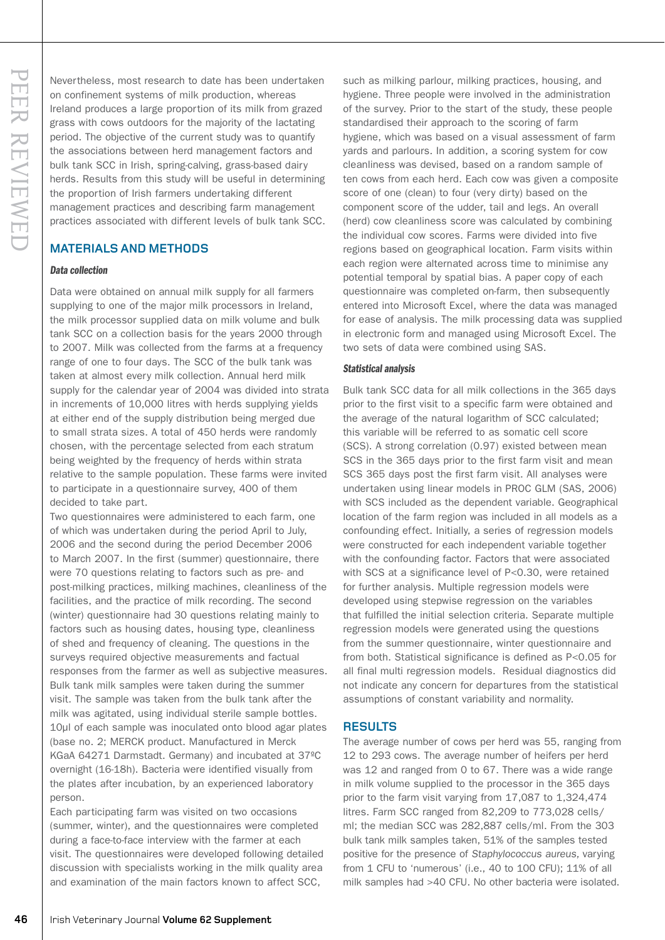Nevertheless, most research to date has been undertaken on confinement systems of milk production, whereas Ireland produces a large proportion of its milk from grazed grass with cows outdoors for the majority of the lactating period. The objective of the current study was to quantify the associations between herd management factors and bulk tank SCC in Irish, spring-calving, grass-based dairy herds. Results from this study will be useful in determining the proportion of Irish farmers undertaking different management practices and describing farm management practices associated with different levels of bulk tank SCC.

# **Materials and methods**

## Data collection

Data were obtained on annual milk supply for all farmers supplying to one of the major milk processors in Ireland, the milk processor supplied data on milk volume and bulk tank SCC on a collection basis for the years 2000 through to 2007. Milk was collected from the farms at a frequency range of one to four days. The SCC of the bulk tank was taken at almost every milk collection. Annual herd milk supply for the calendar year of 2004 was divided into strata in increments of 10,000 litres with herds supplying yields at either end of the supply distribution being merged due to small strata sizes. A total of 450 herds were randomly chosen, with the percentage selected from each stratum being weighted by the frequency of herds within strata relative to the sample population. These farms were invited to participate in a questionnaire survey, 400 of them decided to take part.

**EVERT ALLER INTERNATION** Movertheness, most research to date has been<br>on confinement systems of milit production, which granical production and<br>granic milit production with considerate and the milit of the carrent study w Two questionnaires were administered to each farm, one of which was undertaken during the period April to July, 2006 and the second during the period December 2006 to March 2007. In the first (summer) questionnaire, there were 70 questions relating to factors such as pre- and post-milking practices, milking machines, cleanliness of the facilities, and the practice of milk recording. The second (winter) questionnaire had 30 questions relating mainly to factors such as housing dates, housing type, cleanliness of shed and frequency of cleaning. The questions in the surveys required objective measurements and factual responses from the farmer as well as subjective measures. Bulk tank milk samples were taken during the summer visit. The sample was taken from the bulk tank after the milk was agitated, using individual sterile sample bottles. 10µl of each sample was inoculated onto blood agar plates (base no. 2; MERCK product. Manufactured in Merck KGaA 64271 Darmstadt. Germany) and incubated at 37ºC overnight (16-18h). Bacteria were identified visually from the plates after incubation, by an experienced laboratory person.

Each participating farm was visited on two occasions (summer, winter), and the questionnaires were completed during a face-to-face interview with the farmer at each visit. The questionnaires were developed following detailed discussion with specialists working in the milk quality area and examination of the main factors known to affect SCC,

such as milking parlour, milking practices, housing, and hygiene. Three people were involved in the administration of the survey. Prior to the start of the study, these people standardised their approach to the scoring of farm hygiene, which was based on a visual assessment of farm yards and parlours. In addition, a scoring system for cow cleanliness was devised, based on a random sample of ten cows from each herd. Each cow was given a composite score of one (clean) to four (very dirty) based on the component score of the udder, tail and legs. An overall (herd) cow cleanliness score was calculated by combining the individual cow scores. Farms were divided into five regions based on geographical location. Farm visits within each region were alternated across time to minimise any potential temporal by spatial bias. A paper copy of each questionnaire was completed on-farm, then subsequently entered into Microsoft Excel, where the data was managed for ease of analysis. The milk processing data was supplied in electronic form and managed using Microsoft Excel. The two sets of data were combined using SAS.

## Statistical analysis

Bulk tank SCC data for all milk collections in the 365 days prior to the first visit to a specific farm were obtained and the average of the natural logarithm of SCC calculated; this variable will be referred to as somatic cell score (SCS). A strong correlation (0.97) existed between mean SCS in the 365 days prior to the first farm visit and mean SCS 365 days post the first farm visit. All analyses were undertaken using linear models in PROC GLM (SAS, 2006) with SCS included as the dependent variable. Geographical location of the farm region was included in all models as a confounding effect. Initially, a series of regression models were constructed for each independent variable together with the confounding factor. Factors that were associated with SCS at a significance level of P<0.30, were retained for further analysis. Multiple regression models were developed using stepwise regression on the variables that fulfilled the initial selection criteria. Separate multiple regression models were generated using the questions from the summer questionnaire, winter questionnaire and from both. Statistical significance is defined as P<0.05 for all final multi regression models. Residual diagnostics did not indicate any concern for departures from the statistical assumptions of constant variability and normality.

# **Results**

The average number of cows per herd was 55, ranging from 12 to 293 cows. The average number of heifers per herd was 12 and ranged from 0 to 67. There was a wide range in milk volume supplied to the processor in the 365 days prior to the farm visit varying from 17,087 to 1,324,474 litres. Farm SCC ranged from 82,209 to 773,028 cells/ ml; the median SCC was 282,887 cells/ml. From the 303 bulk tank milk samples taken, 51% of the samples tested positive for the presence of Staphylococcus aureus, varying from 1 CFU to 'numerous' (i.e., 40 to 100 CFU); 11% of all milk samples had >40 CFU. No other bacteria were isolated.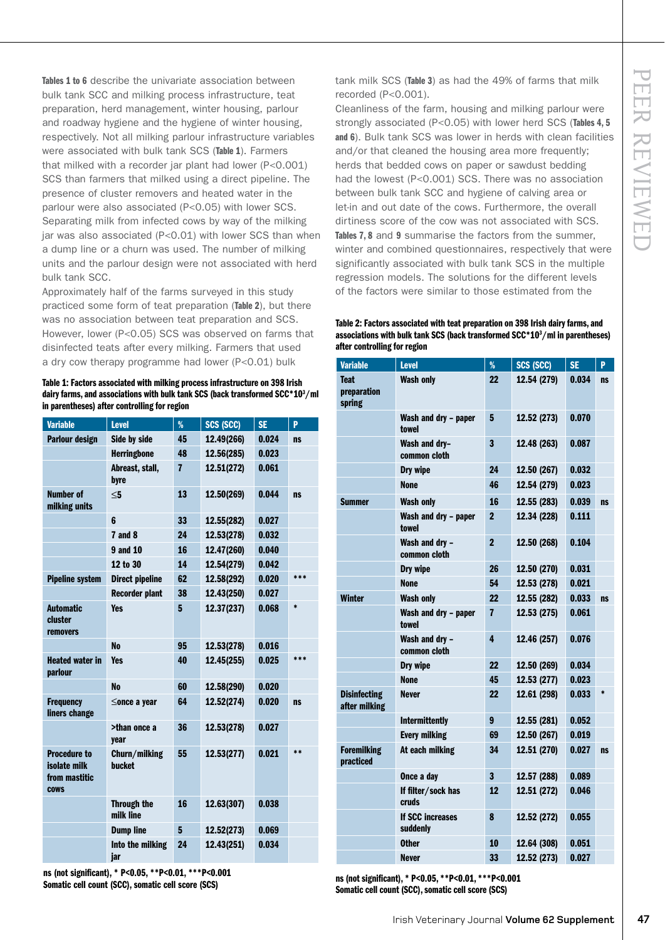Tables 1 to 6 describe the univariate association between bulk tank SCC and milking process infrastructure, teat preparation, herd management, winter housing, parlour and roadway hygiene and the hygiene of winter housing, respectively. Not all milking parlour infrastructure variables were associated with bulk tank SCS (Table 1). Farmers that milked with a recorder jar plant had lower (P<0.001) SCS than farmers that milked using a direct pipeline. The presence of cluster removers and heated water in the parlour were also associated (P<0.05) with lower SCS. Separating milk from infected cows by way of the milking jar was also associated (P<0.01) with lower SCS than when a dump line or a churn was used. The number of milking units and the parlour design were not associated with herd bulk tank SCC.

Approximately half of the farms surveyed in this study practiced some form of teat preparation (Table 2), but there was no association between teat preparation and SCS. However, lower (P<0.05) SCS was observed on farms that disinfected teats after every milking. Farmers that used a dry cow therapy programme had lower (P<0.01) bulk

| Table 1: Factors associated with milking process infrastructure on 398 Irish               |  |
|--------------------------------------------------------------------------------------------|--|
| dairy farms, and associations with bulk tank SCS (back transformed SCC*10 <sup>3</sup> /ml |  |
| in parentheses) after controlling for region                                               |  |

| <b>Variable</b>                                                     | <b>Level</b>                    | %  | SCS (SCC)  | <b>SE</b> | P         |
|---------------------------------------------------------------------|---------------------------------|----|------------|-----------|-----------|
| <b>Parlour design</b>                                               | Side by side                    | 45 | 12.49(266) | 0.024     | <b>ns</b> |
|                                                                     | <b>Herringbone</b>              | 48 | 12.56(285) | 0.023     |           |
|                                                                     | Abreast, stall,<br>byre         | 7  | 12.51(272) | 0.061     |           |
| <b>Number of</b><br>milking units                                   | $\leq 5$                        | 13 | 12.50(269) | 0.044     | <b>ns</b> |
|                                                                     | 6                               | 33 | 12.55(282) | 0.027     |           |
|                                                                     | $7$ and $8$                     | 24 | 12.53(278) | 0.032     |           |
|                                                                     | <b>9 and 10</b>                 | 16 | 12.47(260) | 0.040     |           |
|                                                                     | 12 to 30                        | 14 | 12.54(279) | 0.042     |           |
| <b>Pipeline system</b>                                              | <b>Direct pipeline</b>          | 62 | 12.58(292) | 0.020     | ***       |
|                                                                     | <b>Recorder plant</b>           | 38 | 12.43(250) | 0.027     |           |
| <b>Automatic</b><br>cluster<br>removers                             | <b>Yes</b>                      | 5  | 12.37(237) | 0.068     | ¥         |
|                                                                     | <b>No</b>                       | 95 | 12.53(278) | 0.016     |           |
| <b>Heated water in</b><br>parlour                                   | <b>Yes</b>                      | 40 | 12.45(255) | 0.025     | ***       |
|                                                                     | <b>No</b>                       | 60 | 12.58(290) | 0.020     |           |
| <b>Frequency</b><br>liners change                                   | $\leq$ once a year              | 64 | 12.52(274) | 0.020     | <b>ns</b> |
|                                                                     | >than once a<br>year            | 36 | 12.53(278) | 0.027     |           |
| <b>Procedure to</b><br>isolate milk<br>from mastitic<br><b>COWS</b> | Churn/milking<br><b>bucket</b>  | 55 | 12.53(277) | 0.021     | **        |
|                                                                     | <b>Through the</b><br>milk line | 16 | 12.63(307) | 0.038     |           |
|                                                                     | <b>Dump line</b>                | 5  | 12.52(273) | 0.069     |           |
|                                                                     | Into the milking<br>jar         | 24 | 12.43(251) | 0.034     |           |

ns (not significant), \* P<0.05, \*\*P<0.01, \*\*\*P<0.001 Somatic cell count (SCC), somatic cell score (SCS)

tank milk SCS (Table 3) as had the 49% of farms that milk recorded (P<0.001).

Cleanliness of the farm, housing and milking parlour were strongly associated (P<0.05) with lower herd SCS (Tables 4, 5 and 6). Bulk tank SCS was lower in herds with clean facilities and/or that cleaned the housing area more frequently; herds that bedded cows on paper or sawdust bedding had the lowest (P<0.001) SCS. There was no association between bulk tank SCC and hygiene of calving area or let-in and out date of the cows. Furthermore, the overall dirtiness score of the cow was not associated with SCS. Tables 7.8 and 9 summarise the factors from the summer. winter and combined questionnaires, respectively that were significantly associated with bulk tank SCS in the multiple regression models. The solutions for the different levels of the factors were similar to those estimated from the

## Table 2: Factors associated with teat preparation on 398 Irish dairy farms, and associations with bulk tank SCS (back transformed SCC\*10<sup>3</sup>/ml in parentheses) after controlling for region

| <b>Variable</b>                      | Level                               | %              | SCS (SCC)   | <b>SE</b> | P         |
|--------------------------------------|-------------------------------------|----------------|-------------|-----------|-----------|
| <b>Teat</b><br>preparation<br>spring | <b>Wash only</b>                    | 22             | 12.54 (279) | 0.034     | <b>ns</b> |
|                                      | Wash and dry - paper<br>towel       | 5              | 12.52 (273) | 0.070     |           |
|                                      | Wash and drv-<br>common cloth       | 3              | 12.48 (263) | 0.087     |           |
|                                      | Dry wipe                            | 24             | 12.50 (267) | 0.032     |           |
|                                      | <b>None</b>                         | 46             | 12.54 (279) | 0.023     |           |
| <b>Summer</b>                        | <b>Wash only</b>                    | 16             | 12.55 (283) | 0.039     | <b>ns</b> |
|                                      | Wash and dry - paper<br>towel       | $\overline{2}$ | 12.34 (228) | 0.111     |           |
|                                      | Wash and drv -<br>common cloth      | $\overline{2}$ | 12.50 (268) | 0.104     |           |
|                                      | Dry wipe                            | 26             | 12.50 (270) | 0.031     |           |
|                                      | <b>None</b>                         | 54             | 12.53 (278) | 0.021     |           |
| <b>Winter</b>                        | <b>Wash only</b>                    | 22             | 12.55 (282) | 0.033     | <b>ns</b> |
|                                      | Wash and dry - paper<br>towel       | 7              | 12.53 (275) | 0.061     |           |
|                                      | Wash and drv -<br>common cloth      | 4              | 12.46 (257) | 0.076     |           |
|                                      | Dry wipe                            | 22             | 12.50 (269) | 0.034     |           |
|                                      | <b>None</b>                         | 45             | 12.53 (277) | 0.023     |           |
| <b>Disinfecting</b><br>after milking | <b>Never</b>                        | 22             | 12.61 (298) | 0.033     | $\ast$    |
|                                      | <b>Intermittently</b>               | 9              | 12.55 (281) | 0.052     |           |
|                                      | <b>Every milking</b>                | 69             | 12.50 (267) | 0.019     |           |
| <b>Foremilking</b><br>practiced      | At each milking                     | 34             | 12.51 (270) | 0.027     | <b>ns</b> |
|                                      | Once a day                          | 3              | 12.57 (288) | 0.089     |           |
|                                      | If filter/sock has<br>cruds         | 12             | 12.51 (272) | 0.046     |           |
|                                      | <b>If SCC increases</b><br>suddenly | 8              | 12.52 (272) | 0.055     |           |
|                                      | <b>Other</b>                        | 10             | 12.64 (308) | 0.051     |           |
|                                      | <b>Never</b>                        | 33             | 12.52 (273) | 0.027     |           |

ns (not significant), \* P<0.05, \*\*P<0.01, \*\*\*P<0.001 Somatic cell count (SCC), somatic cell score (SCS)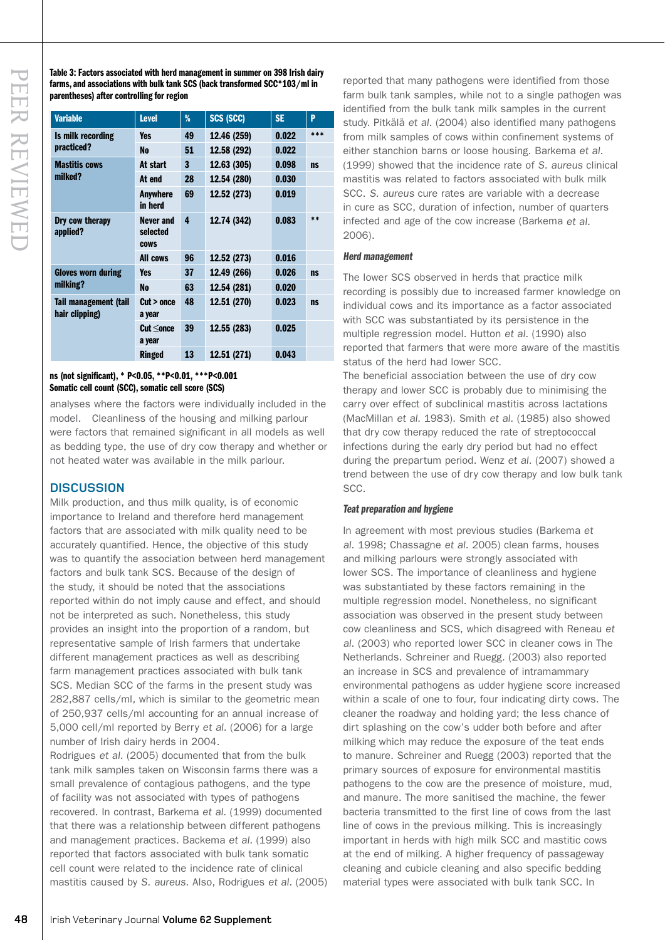Table 3: Factors associated with herd management in summer on 398 Irish dairy farms, and associations with bulk tank SCS (back transformed SCC\*103/ml in parentheses) after controlling for region

| Is milk recording<br>practiced?                                                                                                                                                                                                                                                                                                                                                                                                                                                                                                                                                                                                                                                                                                                                                                                                                                                                                                                                                                                                                                                                                           | <b>Level</b>                                | %  | SCS (SCC)                                           | <b>SE</b>                                              |
|---------------------------------------------------------------------------------------------------------------------------------------------------------------------------------------------------------------------------------------------------------------------------------------------------------------------------------------------------------------------------------------------------------------------------------------------------------------------------------------------------------------------------------------------------------------------------------------------------------------------------------------------------------------------------------------------------------------------------------------------------------------------------------------------------------------------------------------------------------------------------------------------------------------------------------------------------------------------------------------------------------------------------------------------------------------------------------------------------------------------------|---------------------------------------------|----|-----------------------------------------------------|--------------------------------------------------------|
|                                                                                                                                                                                                                                                                                                                                                                                                                                                                                                                                                                                                                                                                                                                                                                                                                                                                                                                                                                                                                                                                                                                           | Yes                                         | 49 | 12.46 (259)                                         | 0.022                                                  |
|                                                                                                                                                                                                                                                                                                                                                                                                                                                                                                                                                                                                                                                                                                                                                                                                                                                                                                                                                                                                                                                                                                                           | <b>No</b>                                   | 51 | 12.58 (292)                                         | 0.022                                                  |
| <b>Mastitis cows</b>                                                                                                                                                                                                                                                                                                                                                                                                                                                                                                                                                                                                                                                                                                                                                                                                                                                                                                                                                                                                                                                                                                      | At start                                    | 3  | 12.63 (305)                                         | 0.098                                                  |
| milked?                                                                                                                                                                                                                                                                                                                                                                                                                                                                                                                                                                                                                                                                                                                                                                                                                                                                                                                                                                                                                                                                                                                   | At end                                      | 28 | 12.54 (280)                                         | 0.030                                                  |
|                                                                                                                                                                                                                                                                                                                                                                                                                                                                                                                                                                                                                                                                                                                                                                                                                                                                                                                                                                                                                                                                                                                           | <b>Anywhere</b><br>in herd                  | 69 | 12.52 (273)                                         | 0.019                                                  |
| Dry cow therapy<br>applied?                                                                                                                                                                                                                                                                                                                                                                                                                                                                                                                                                                                                                                                                                                                                                                                                                                                                                                                                                                                                                                                                                               | <b>Never and</b><br>selected<br><b>COWS</b> | 4  | 12.74 (342)                                         | 0.083                                                  |
|                                                                                                                                                                                                                                                                                                                                                                                                                                                                                                                                                                                                                                                                                                                                                                                                                                                                                                                                                                                                                                                                                                                           | <b>All cows</b>                             | 96 | 12.52 (273)                                         | 0.016                                                  |
| <b>Gloves worn during</b>                                                                                                                                                                                                                                                                                                                                                                                                                                                                                                                                                                                                                                                                                                                                                                                                                                                                                                                                                                                                                                                                                                 | Yes                                         | 37 | 12.49 (266)                                         | 0.026                                                  |
| milking?                                                                                                                                                                                                                                                                                                                                                                                                                                                                                                                                                                                                                                                                                                                                                                                                                                                                                                                                                                                                                                                                                                                  | <b>No</b>                                   | 63 | 12.54 (281)                                         | 0.020                                                  |
| <b>Tail management (tail</b><br>hair clipping)                                                                                                                                                                                                                                                                                                                                                                                                                                                                                                                                                                                                                                                                                                                                                                                                                                                                                                                                                                                                                                                                            | $Cut >$ once<br>a year                      | 48 | 12.51 (270)                                         | 0.023                                                  |
|                                                                                                                                                                                                                                                                                                                                                                                                                                                                                                                                                                                                                                                                                                                                                                                                                                                                                                                                                                                                                                                                                                                           | $Cut \leq$ once<br>a year                   | 39 | 12.55 (283)                                         | 0.025                                                  |
|                                                                                                                                                                                                                                                                                                                                                                                                                                                                                                                                                                                                                                                                                                                                                                                                                                                                                                                                                                                                                                                                                                                           | <b>Ringed</b>                               | 13 | 12.51 (271)                                         | 0.043                                                  |
| ns (not significant), * P<0.05, **P<0.01, ***P<0.001<br>Somatic cell count (SCC), somatic cell score (SCS)                                                                                                                                                                                                                                                                                                                                                                                                                                                                                                                                                                                                                                                                                                                                                                                                                                                                                                                                                                                                                |                                             |    |                                                     |                                                        |
|                                                                                                                                                                                                                                                                                                                                                                                                                                                                                                                                                                                                                                                                                                                                                                                                                                                                                                                                                                                                                                                                                                                           |                                             |    | importance to Ireland and therefore herd management | Milk production, and thus milk quality, is of economic |
| factors that are associated with milk quality need to be<br>accurately quantified. Hence, the objective of this study<br>was to quantify the association between herd management<br>factors and bulk tank SCS. Because of the design of<br>the study, it should be noted that the associations<br>reported within do not imply cause and effect, and should<br>not be interpreted as such. Nonetheless, this study<br>provides an insight into the proportion of a random, but<br>representative sample of Irish farmers that undertake<br>different management practices as well as describing<br>farm management practices associated with bulk tank<br>SCS. Median SCC of the farms in the present study was<br>282,887 cells/ml, which is similar to the geometric mean<br>of 250,937 cells/ml accounting for an annual increase of<br>5,000 cell/ml reported by Berry et al. (2006) for a large<br>number of Irish dairy herds in 2004.<br>Rodrigues et al. (2005) documented that from the bulk<br>tank milk samples taken on Wisconsin farms there was a<br>small prevalence of contagious pathogens, and the type |                                             |    |                                                     |                                                        |

#### ns (not significant), \* P<0.05, \*\*P<0.01, \*\*\*P<0.001 Somatic cell count (SCC), somatic cell score (SCS)

# **Discussion**

reported that many pathogens were identified from those farm bulk tank samples, while not to a single pathogen was identified from the bulk tank milk samples in the current study. Pitkälä et al. (2004) also identified many pathogens from milk samples of cows within confinement systems of either stanchion barns or loose housing. Barkema et al. (1999) showed that the incidence rate of S. aureus clinical mastitis was related to factors associated with bulk milk SCC. S. aureus cure rates are variable with a decrease in cure as SCC, duration of infection, number of quarters infected and age of the cow increase (Barkema et al. 2006).

## Herd management

The lower SCS observed in herds that practice milk recording is possibly due to increased farmer knowledge on individual cows and its importance as a factor associated with SCC was substantiated by its persistence in the multiple regression model. Hutton et al. (1990) also reported that farmers that were more aware of the mastitis status of the herd had lower SCC.

The beneficial association between the use of dry cow therapy and lower SCC is probably due to minimising the carry over effect of subclinical mastitis across lactations (MacMillan et al. 1983). Smith et al. (1985) also showed that dry cow therapy reduced the rate of streptococcal infections during the early dry period but had no effect during the prepartum period. Wenz et al. (2007) showed a trend between the use of dry cow therapy and low bulk tank SCC.

## Teat preparation and hygiene

In agreement with most previous studies (Barkema et al. 1998; Chassagne et al. 2005) clean farms, houses and milking parlours were strongly associated with lower SCS. The importance of cleanliness and hygiene was substantiated by these factors remaining in the multiple regression model. Nonetheless, no significant association was observed in the present study between cow cleanliness and SCS, which disagreed with Reneau et al. (2003) who reported lower SCC in cleaner cows in The Netherlands. Schreiner and Ruegg. (2003) also reported an increase in SCS and prevalence of intramammary environmental pathogens as udder hygiene score increased within a scale of one to four, four indicating dirty cows. The cleaner the roadway and holding yard; the less chance of dirt splashing on the cow's udder both before and after milking which may reduce the exposure of the teat ends to manure. Schreiner and Ruegg (2003) reported that the primary sources of exposure for environmental mastitis pathogens to the cow are the presence of moisture, mud, and manure. The more sanitised the machine, the fewer bacteria transmitted to the first line of cows from the last line of cows in the previous milking. This is increasingly important in herds with high milk SCC and mastitic cows at the end of milking. A higher frequency of passageway cleaning and cubicle cleaning and also specific bedding material types were associated with bulk tank SCC. In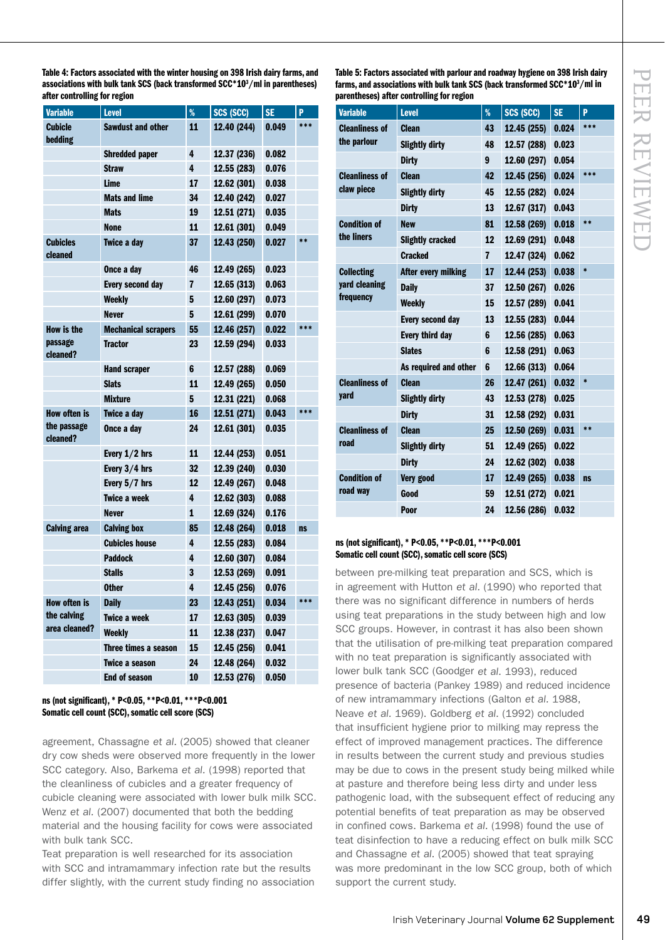| Table 4: Factors associated with the winter housing on 398 Irish dairy farms, and         |
|-------------------------------------------------------------------------------------------|
| associations with bulk tank SCS (back transformed SCC*10 <sup>3</sup> /ml in parentheses) |
| after controlling for region                                                              |

| <b>Variable</b>            | Level                      | %            | SCS (SCC)   | <b>SE</b> | P         |
|----------------------------|----------------------------|--------------|-------------|-----------|-----------|
| <b>Cubicle</b><br>bedding  | <b>Sawdust and other</b>   | 11           | 12.40 (244) | 0.049     | ***       |
|                            | <b>Shredded paper</b>      | 4            | 12.37 (236) | 0.082     |           |
|                            | <b>Straw</b>               | 4            | 12.55 (283) | 0.076     |           |
|                            | <b>Lime</b>                | 17           | 12.62 (301) | 0.038     |           |
|                            | <b>Mats and lime</b>       | 34           | 12.40 (242) | 0.027     |           |
|                            | <b>Mats</b>                | 19           | 12.51 (271) | 0.035     |           |
|                            | <b>None</b>                | 11           | 12.61 (301) | 0.049     |           |
| <b>Cubicles</b><br>cleaned | Twice a day                | 37           | 12.43 (250) | 0.027     | $* *$     |
|                            | Once a day                 | 46           | 12.49 (265) | 0.023     |           |
|                            | <b>Every second day</b>    | 7            | 12.65 (313) | 0.063     |           |
|                            | <b>Weekly</b>              | 5            | 12.60 (297) | 0.073     |           |
|                            | <b>Never</b>               | 5            | 12.61 (299) | 0.070     |           |
| How is the                 | <b>Mechanical scrapers</b> | 55           | 12.46 (257) | 0.022     | ***       |
| passage<br>cleaned?        | <b>Tractor</b>             | 23           | 12.59 (294) | 0.033     |           |
|                            | <b>Hand scraper</b>        | 6            | 12.57 (288) | 0.069     |           |
|                            | <b>Slats</b>               | 11           | 12.49 (265) | 0.050     |           |
|                            | <b>Mixture</b>             | 5            | 12.31 (221) | 0.068     |           |
| <b>How often is</b>        | <b>Twice a day</b>         | 16           | 12.51 (271) | 0.043     | $***$     |
| the passage<br>cleaned?    | Once a day                 | 24           | 12.61 (301) | 0.035     |           |
|                            | Every 1/2 hrs              | 11           | 12.44 (253) | 0.051     |           |
|                            | Every 3/4 hrs              | 32           | 12.39 (240) | 0.030     |           |
|                            | Every 5/7 hrs              | 12           | 12.49 (267) | 0.048     |           |
|                            | <b>Twice a week</b>        | 4            | 12.62 (303) | 0.088     |           |
|                            | <b>Never</b>               | $\mathbf{1}$ | 12.69 (324) | 0.176     |           |
| <b>Calving area</b>        | <b>Calving box</b>         | 85           | 12.48 (264) | 0.018     | <b>ns</b> |
|                            | <b>Cubicles house</b>      | 4            | 12.55 (283) | 0.084     |           |
|                            | <b>Paddock</b>             | 4            | 12.60 (307) | 0.084     |           |
|                            | <b>Stalls</b>              | 3            | 12.53 (269) | 0.091     |           |
|                            | <b>Other</b>               | 4            | 12.45 (256) | 0.076     |           |
| <b>How often is</b>        | <b>Daily</b>               | 23           | 12.43 (251) | 0.034     | $***$     |
| the calving                | <b>Twice a week</b>        | 17           | 12.63 (305) | 0.039     |           |
| area cleaned?              | <b>Weekly</b>              | 11           | 12.38 (237) | 0.047     |           |
|                            | Three times a season       | 15           | 12.45 (256) | 0.041     |           |
|                            | <b>Twice a season</b>      | 24           | 12.48 (264) | 0.032     |           |
|                            | <b>End of season</b>       | 10           | 12.53 (276) | 0.050     |           |

## ns (not significant), \* P<0.05, \*\*P<0.01, \*\*\*P<0.001 Somatic cell count (SCC), somatic cell score (SCS)

agreement, Chassagne et al. (2005) showed that cleaner dry cow sheds were observed more frequently in the lower SCC category. Also, Barkema et al. (1998) reported that the cleanliness of cubicles and a greater frequency of cubicle cleaning were associated with lower bulk milk SCC. Wenz et al. (2007) documented that both the bedding material and the housing facility for cows were associated with bulk tank SCC.

Teat preparation is well researched for its association with SCC and intramammary infection rate but the results differ slightly, with the current study finding no association Table 5: Factors associated with parlour and roadway hygiene on 398 Irish dairy farms, and associations with bulk tank SCS (back transformed SCC\*103 /ml in parentheses) after controlling for region

| <b>Variable</b>            | Level                      | %                       | SCS (SCC)   | SE.   | P         |
|----------------------------|----------------------------|-------------------------|-------------|-------|-----------|
| <b>Cleanliness of</b>      | <b>Clean</b>               | 43                      | 12.45 (255) | 0.024 | ***       |
| the parlour                | <b>Slightly dirty</b>      | 48                      | 12.57 (288) | 0.023 |           |
|                            | <b>Dirty</b>               | 9                       | 12.60 (297) | 0.054 |           |
| <b>Cleanliness of</b>      | <b>Clean</b>               | 42                      | 12.45 (256) | 0.024 | ***       |
| claw piece                 | <b>Slightly dirty</b>      | 45                      | 12.55 (282) | 0.024 |           |
|                            | <b>Dirty</b>               | 13                      | 12.67 (317) | 0.043 |           |
| <b>Condition of</b>        | <b>New</b>                 | 81                      | 12.58 (269) | 0.018 | **        |
| the liners                 | <b>Slightly cracked</b>    | 12                      | 12.69 (291) | 0.048 |           |
|                            | <b>Cracked</b>             | $\overline{\mathbf{r}}$ | 12.47 (324) | 0.062 |           |
| <b>Collecting</b>          | <b>After every milking</b> | 17                      | 12.44 (253) | 0.038 | *         |
| yard cleaning<br>frequency | <b>Daily</b>               | 37                      | 12.50 (267) | 0.026 |           |
|                            | <b>Weekly</b>              | 15                      | 12.57 (289) | 0.041 |           |
|                            | Every second day           | 13                      | 12.55 (283) | 0.044 |           |
|                            | Every third day            | 6                       | 12.56 (285) | 0.063 |           |
|                            | <b>Slates</b>              | 6                       | 12.58 (291) | 0.063 |           |
|                            | As required and other      | 6                       | 12.66 (313) | 0.064 |           |
| <b>Cleanliness of</b>      | <b>Clean</b>               | 26                      | 12.47 (261) | 0.032 | *         |
| yard                       | <b>Slightly dirty</b>      | 43                      | 12.53 (278) | 0.025 |           |
|                            | <b>Dirty</b>               | 31                      | 12.58 (292) | 0.031 |           |
| <b>Cleanliness of</b>      | <b>Clean</b>               | 25                      | 12.50 (269) | 0.031 | $**$      |
| road                       | <b>Slightly dirty</b>      | 51                      | 12.49 (265) | 0.022 |           |
|                            | <b>Dirty</b>               | 24                      | 12.62 (302) | 0.038 |           |
| <b>Condition of</b>        | Very good                  | 17                      | 12.49 (265) | 0.038 | <b>ns</b> |
| road way                   | Good                       | 59                      | 12.51 (272) | 0.021 |           |
|                            | Poor                       | 24                      | 12.56 (286) | 0.032 |           |

## ns (not significant), \* P<0.05, \*\*P<0.01, \*\*\*P<0.001 Somatic cell count (SCC), somatic cell score (SCS)

between pre-milking teat preparation and SCS, which is in agreement with Hutton et al. (1990) who reported that there was no significant difference in numbers of herds using teat preparations in the study between high and low SCC groups. However, in contrast it has also been shown that the utilisation of pre-milking teat preparation compared with no teat preparation is significantly associated with lower bulk tank SCC (Goodger et al. 1993), reduced presence of bacteria (Pankey 1989) and reduced incidence of new intramammary infections (Galton et al. 1988, Neave et al. 1969). Goldberg et al. (1992) concluded that insufficient hygiene prior to milking may repress the effect of improved management practices. The difference in results between the current study and previous studies may be due to cows in the present study being milked while at pasture and therefore being less dirty and under less pathogenic load, with the subsequent effect of reducing any potential benefits of teat preparation as may be observed in confined cows. Barkema et al. (1998) found the use of teat disinfection to have a reducing effect on bulk milk SCC and Chassagne et al. (2005) showed that teat spraying was more predominant in the low SCC group, both of which support the current study.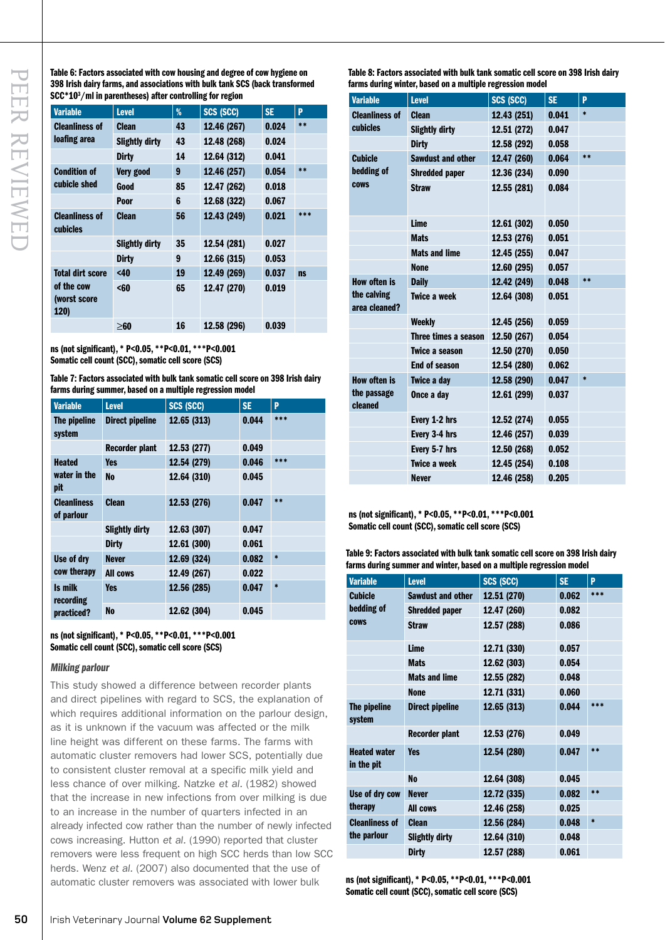Table 6: Factors associated with cow housing and degree of cow hygiene on 398 Irish dairy farms, and associations with bulk tank SCS (back transformed SCC\*103 /ml in parentheses) after controlling for region

| <b>Variable</b>                    | <b>Level</b>                                                                                                                                                                                        | %           | SCS (SCC)   |       | <b>SE</b>                                               |
|------------------------------------|-----------------------------------------------------------------------------------------------------------------------------------------------------------------------------------------------------|-------------|-------------|-------|---------------------------------------------------------|
| <b>Cleanliness of</b>              | <b>Clean</b>                                                                                                                                                                                        | 43          | 12.46 (267) |       | 0.024                                                   |
| loafing area                       | <b>Slightly dirty</b>                                                                                                                                                                               | 43          | 12.48 (268) |       | 0.024                                                   |
|                                    | <b>Dirty</b>                                                                                                                                                                                        | 14          | 12.64 (312) |       | 0.041                                                   |
| <b>Condition of</b>                | Very good                                                                                                                                                                                           | 9           | 12.46 (257) |       | 0.054                                                   |
| cubicle shed                       | Good                                                                                                                                                                                                | 85          | 12.47 (262) |       | 0.018                                                   |
|                                    | Poor                                                                                                                                                                                                | 6           | 12.68 (322) |       | 0.067                                                   |
| <b>Cleanliness of</b><br>cubicles  | <b>Clean</b>                                                                                                                                                                                        | 56          | 12.43 (249) |       | 0.021                                                   |
|                                    | <b>Slightly dirty</b>                                                                                                                                                                               | 35          | 12.54 (281) |       | 0.027                                                   |
|                                    | <b>Dirty</b>                                                                                                                                                                                        | 9           | 12.66 (315) |       | 0.053                                                   |
| <b>Total dirt score</b>            | <40                                                                                                                                                                                                 | 19          | 12.49 (269) |       | 0.037                                                   |
| of the cow<br>(worst score<br>120) | <60                                                                                                                                                                                                 | 65          | 12.47 (270) |       | 0.019                                                   |
|                                    | $\geq 60$                                                                                                                                                                                           | 16          | 12.58 (296) |       | 0.039                                                   |
|                                    | Somatic cell count (SCC), somatic cell score (SCS)<br>Table 7: Factors associated with bulk tank somatic cell score on 398 Irish dairy<br>farms during summer, based on a multiple regression model |             |             |       |                                                         |
| <b>Variable</b>                    | <b>Level</b>                                                                                                                                                                                        | SCS (SCC)   |             | SE.   | P                                                       |
| The pipeline<br>system             | Direct pipeline                                                                                                                                                                                     | 12.65 (313) |             | 0.044 | ***                                                     |
|                                    | <b>Recorder plant</b>                                                                                                                                                                               | 12.53 (277) |             | 0.049 |                                                         |
| <b>Heated</b>                      | <b>Yes</b>                                                                                                                                                                                          | 12.54 (279) |             | 0.046 | ***                                                     |
| water in the<br>pit                | No                                                                                                                                                                                                  | 12.64 (310) |             | 0.045 |                                                         |
| <b>Cleanliness</b><br>of parlour   | <b>Clean</b>                                                                                                                                                                                        | 12.53 (276) |             | 0.047 | $* *$                                                   |
|                                    | <b>Slightly dirty</b>                                                                                                                                                                               | 12.63 (307) |             | 0.047 |                                                         |
|                                    | <b>Dirty</b>                                                                                                                                                                                        | 12.61 (300) |             | 0.061 |                                                         |
| Use of dry                         | <b>Never</b>                                                                                                                                                                                        | 12.69 (324) |             | 0.082 | *                                                       |
| cow therapy                        | <b>All cows</b>                                                                                                                                                                                     | 12.49 (267) |             | 0.022 |                                                         |
| <b>Is milk</b>                     | <b>Yes</b>                                                                                                                                                                                          | 12.56 (285) |             | 0.047 | $\ast$                                                  |
| recording<br>practiced?            | No                                                                                                                                                                                                  | 12.62 (304) |             | 0.045 |                                                         |
| <b>Milking parlour</b>             | ns (not significant), * P<0.05, **P<0.01, ***P<0.001<br>Somatic cell count (SCC), somatic cell score (SCS)                                                                                          |             |             |       |                                                         |
|                                    | This study showed a difference between recorder plants<br>and direct pipelines with regard to SCS, the explanation of<br>which requires additional information on the parlour design                |             |             |       | as it is unknown if the vacuum was affected or the milk |

| <b>Variable</b>                  | <b>Level</b>           | SCS (SCC)   | <b>SE</b> | P      |
|----------------------------------|------------------------|-------------|-----------|--------|
| The pipeline<br>system           | <b>Direct pipeline</b> | 12.65 (313) | 0.044     | $***$  |
|                                  | Recorder plant         | 12.53 (277) | 0.049     |        |
| <b>Heated</b>                    | <b>Yes</b>             | 12.54 (279) | 0.046     | $***$  |
| water in the<br>pit              | <b>No</b>              | 12.64 (310) | 0.045     |        |
| <b>Cleanliness</b><br>of parlour | <b>Clean</b>           | 12.53 (276) | 0.047     | $* *$  |
|                                  | <b>Slightly dirty</b>  | 12.63 (307) | 0.047     |        |
|                                  | <b>Dirty</b>           | 12.61 (300) | 0.061     |        |
| Use of dry                       | <b>Never</b>           | 12.69 (324) | 0.082     | $\ast$ |
| cow therapy                      | <b>All cows</b>        | 12.49 (267) | 0.022     |        |
| Is milk<br>recording             | <b>Yes</b>             | 12.56 (285) | 0.047     | $\ast$ |
| practiced?                       | <b>No</b>              | 12.62 (304) | 0.045     |        |

## ns (not significant), \* P<0.05, \*\*P<0.01, \*\*\*P<0.001 Somatic cell count (SCC), somatic cell score (SCS)

#### Milking parlour

Table 8: Factors associated with bulk tank somatic cell score on 398 Irish dairy farms during winter, based on a multiple regression model

| <b>Variable</b>              | <b>Level</b>             | SCS (SCC)   | <b>SE</b> | P      |
|------------------------------|--------------------------|-------------|-----------|--------|
| <b>Cleanliness of</b>        | <b>Clean</b>             | 12.43 (251) | 0.041     | $\ast$ |
| <b>cubicles</b>              | <b>Slightly dirty</b>    | 12.51 (272) | 0.047     |        |
|                              | <b>Dirty</b>             | 12.58 (292) | 0.058     |        |
| <b>Cubicle</b>               | <b>Sawdust and other</b> | 12.47 (260) | 0.064     | **     |
| bedding of                   | <b>Shredded paper</b>    | 12.36 (234) | 0.090     |        |
| <b>COWS</b>                  | <b>Straw</b>             | 12.55 (281) | 0.084     |        |
|                              | Lime                     | 12.61 (302) | 0.050     |        |
|                              | <b>Mats</b>              | 12.53 (276) | 0.051     |        |
|                              | <b>Mats and lime</b>     | 12.45 (255) | 0.047     |        |
|                              | <b>None</b>              | 12.60 (295) | 0.057     |        |
| <b>How often is</b>          | <b>Daily</b>             | 12.42 (249) | 0.048     | **     |
| the calving<br>area cleaned? | <b>Twice a week</b>      | 12.64 (308) | 0.051     |        |
|                              | <b>Weekly</b>            | 12.45 (256) | 0.059     |        |
|                              | Three times a season     | 12.50 (267) | 0.054     |        |
|                              | <b>Twice a season</b>    | 12.50 (270) | 0.050     |        |
|                              | <b>End of season</b>     | 12.54 (280) | 0.062     |        |
| <b>How often is</b>          | <b>Twice a day</b>       | 12.58 (290) | 0.047     | *      |
| the passage<br>cleaned       | Once a dav               | 12.61 (299) | 0.037     |        |
|                              | Every 1-2 hrs            | 12.52 (274) | 0.055     |        |
|                              | Every 3-4 hrs            | 12.46 (257) | 0.039     |        |
|                              | Every 5-7 hrs            | 12.50 (268) | 0.052     |        |
|                              | <b>Twice a week</b>      | 12.45 (254) | 0.108     |        |
|                              | <b>Never</b>             | 12.46 (258) | 0.205     |        |
|                              |                          |             |           |        |

ns (not significant), \* P<0.05, \*\*P<0.01, \*\*\*P<0.001 Somatic cell count (SCC), somatic cell score (SCS)

Table 9: Factors associated with bulk tank somatic cell score on 398 Irish dairy farms during summer and winter, based on a multiple regression model

| <b>Variable</b>                   | <b>Level</b>             | SCS (SCC)   | <b>SE</b> | P      |
|-----------------------------------|--------------------------|-------------|-----------|--------|
| <b>Cubicle</b>                    | <b>Sawdust and other</b> | 12.51 (270) | 0.062     | $***$  |
| bedding of                        | <b>Shredded paper</b>    | 12.47 (260) | 0.082     |        |
| <b>COWS</b>                       | <b>Straw</b>             | 12.57 (288) | 0.086     |        |
|                                   | <b>Lime</b>              | 12.71 (330) | 0.057     |        |
|                                   | <b>Mats</b>              | 12.62 (303) | 0.054     |        |
|                                   | <b>Mats and lime</b>     | 12.55 (282) | 0.048     |        |
|                                   | <b>None</b>              | 12.71 (331) | 0.060     |        |
| The pipeline<br>system            | <b>Direct pipeline</b>   | 12.65 (313) | 0.044     | ***    |
|                                   | <b>Recorder plant</b>    | 12.53 (276) | 0.049     |        |
| <b>Heated water</b><br>in the pit | <b>Yes</b>               | 12.54 (280) | 0.047     | $**$   |
|                                   | <b>No</b>                | 12.64 (308) | 0.045     |        |
| Use of dry cow                    | <b>Never</b>             | 12.72 (335) | 0.082     | **     |
| therapy                           | <b>All cows</b>          | 12.46 (258) | 0.025     |        |
| <b>Cleanliness of</b>             | <b>Clean</b>             | 12.56 (284) | 0.048     | $\ast$ |
| the parlour                       | <b>Slightly dirty</b>    | 12.64 (310) | 0.048     |        |
|                                   | <b>Dirty</b>             | 12.57 (288) | 0.061     |        |

ns (not significant), \* P<0.05, \*\*P<0.01, \*\*\*P<0.001 Somatic cell count (SCC), somatic cell score (SCS)